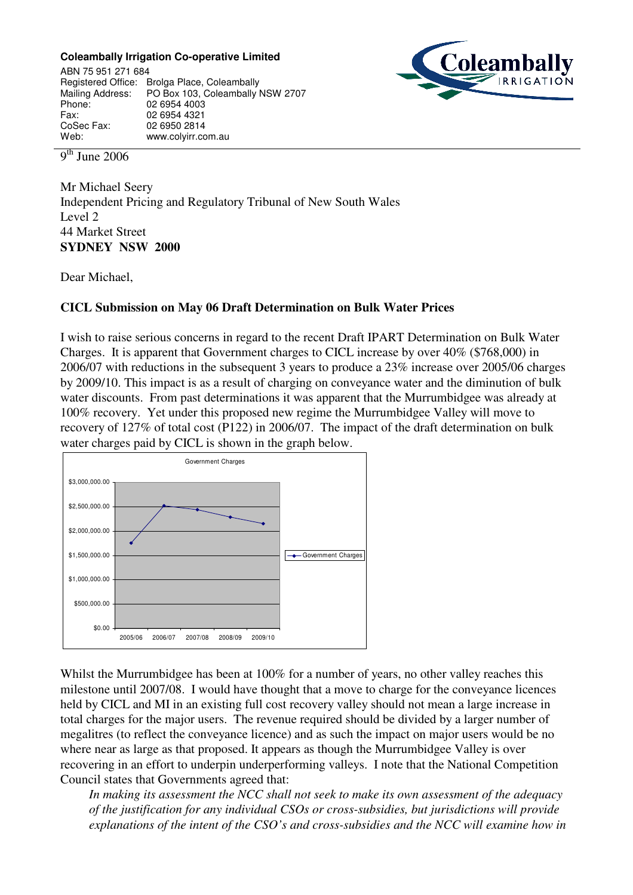## **Coleambally Irrigation Co-operative Limited**

'oleaml

ABN 75 951 271 684 Registered Office: Brolga Place, Coleambally<br>Mailing Address: PO Box 103, Coleambally PO Box 103, Coleambally NSW 2707 Phone: 02 6954 4003 Fax: 02 6954 4321<br>CoSec Fax: 02 6950 2814 02 6950 2814 Web: www.colyirr.com.au

9<sup>th</sup> June 2006

Mr Michael Seery Independent Pricing and Regulatory Tribunal of New South Wales Level 2 44 Market Street **SYDNEY NSW 2000**

Dear Michael,

## **CICL Submission on May 06 Draft Determination on Bulk Water Prices**

I wish to raise serious concerns in regard to the recent Draft IPART Determination on Bulk Water Charges. It is apparent that Government charges to CICL increase by over 40% (\$768,000) in 2006/07 with reductions in the subsequent 3 years to produce a 23% increase over 2005/06 charges by 2009/10. This impact is as a result of charging on conveyance water and the diminution of bulk water discounts. From past determinations it was apparent that the Murrumbidgee was already at 100% recovery. Yet under this proposed new regime the Murrumbidgee Valley will move to recovery of 127% of total cost (P122) in 2006/07. The impact of the draft determination on bulk water charges paid by CICL is shown in the graph below.



Whilst the Murrumbidgee has been at 100% for a number of years, no other valley reaches this milestone until 2007/08. I would have thought that a move to charge for the conveyance licences held by CICL and MI in an existing full cost recovery valley should not mean a large increase in total charges for the major users. The revenue required should be divided by a larger number of megalitres (to reflect the conveyance licence) and as such the impact on major users would be no where near as large as that proposed. It appears as though the Murrumbidgee Valley is over recovering in an effort to underpin underperforming valleys. I note that the National Competition Council states that Governments agreed that:

*In making its assessment the NCC shall not seek to make its own assessment of the adequacy of the justification for any individual CSOs or cross-subsidies, but jurisdictions will provide explanations of the intent of the CSO's and cross-subsidies and the NCC will examine how in*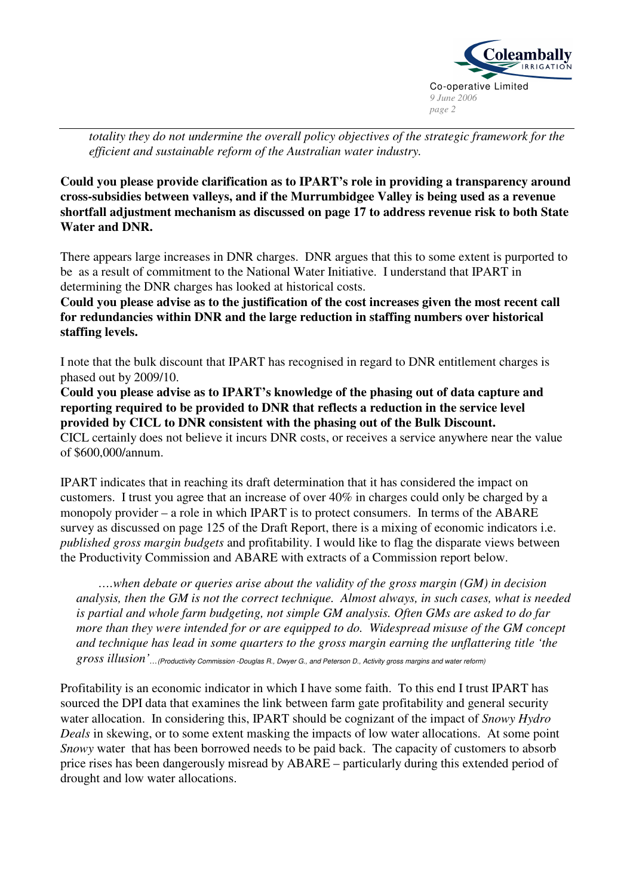

*totality they do not undermine the overall policy objectives of the strategic framework for the efficient and sustainable reform of the Australian water industry.*

**Could you please provide clarification as to IPART's role in providing a transparency around cross-subsidies between valleys, and if the Murrumbidgee Valley is being used as a revenue shortfall adjustment mechanism as discussed on page 17 to address revenue risk to both State Water and DNR.**

There appears large increases in DNR charges. DNR argues that this to some extent is purported to be as a result of commitment to the National Water Initiative. I understand that IPART in determining the DNR charges has looked at historical costs.

**Could you please advise as to the justification of the cost increases given the most recent call for redundancies within DNR and the large reduction in staffing numbers over historical staffing levels.**

I note that the bulk discount that IPART has recognised in regard to DNR entitlement charges is phased out by 2009/10.

**Could you please advise as to IPART's knowledge of the phasing out of data capture and reporting required to be provided to DNR that reflects a reduction in the service level provided by CICL to DNR consistent with the phasing out of the Bulk Discount.** CICL certainly does not believe it incurs DNR costs, or receives a service anywhere near the value of \$600,000/annum.

IPART indicates that in reaching its draft determination that it has considered the impact on customers. I trust you agree that an increase of over 40% in charges could only be charged by a monopoly provider – a role in which IPART is to protect consumers. In terms of the ABARE survey as discussed on page 125 of the Draft Report, there is a mixing of economic indicators i.e. *published gross margin budgets* and profitability. I would like to flag the disparate views between the Productivity Commission and ABARE with extracts of a Commission report below.

*….when debate or queries arise about the validity of the gross margin (GM) in decision analysis, then the GM is not the correct technique. Almost always, in such cases, what is needed is partial and whole farm budgeting, not simple GM analysis. Often GMs are asked to do far more than they were intended for or are equipped to do. Widespread misuse of the GM concept and technique has lead in some quarters to the gross margin earning the unflattering title 'the*  $\it gross$  illusion'...(Productivity Commission -Douglas R., Dwyer G., and Peterson D., Activity gross margins and water reform)

Profitability is an economic indicator in which I have some faith. To this end I trust IPART has sourced the DPI data that examines the link between farm gate profitability and general security water allocation. In considering this, IPART should be cognizant of the impact of *Snowy Hydro Deals* in skewing, or to some extent masking the impacts of low water allocations. At some point *Snowy* water that has been borrowed needs to be paid back. The capacity of customers to absorb price rises has been dangerously misread by ABARE – particularly during this extended period of drought and low water allocations.